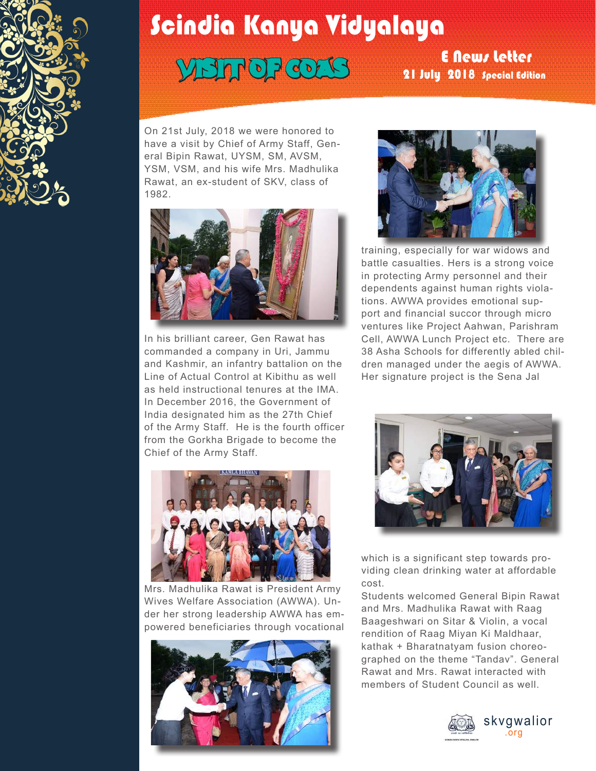

## Scindia Kanya Vidyalaya

## VISIT OF COAS

## E News Letter 21 July 2018 Special Edition

On 21st July, 2018 we were honored to have a visit by Chief of Army Staff, General Bipin Rawat, UYSM, SM, AVSM, YSM, VSM, and his wife Mrs. Madhulika Rawat, an ex-student of SKV, class of 1982.



In his brilliant career, Gen Rawat has commanded a company in Uri, Jammu and Kashmir, an infantry battalion on the Line of Actual Control at Kibithu as well as held instructional tenures at the IMA. In December 2016, the Government of India designated him as the 27th Chief of the Army Staff. He is the fourth officer from the Gorkha Brigade to become the Chief of the Army Staff.



Mrs. Madhulika Rawat is President Army Wives Welfare Association (AWWA). Under her strong leadership AWWA has empowered beneficiaries through vocational





training, especially for war widows and battle casualties. Hers is a strong voice in protecting Army personnel and their dependents against human rights violations. AWWA provides emotional support and financial succor through micro ventures like Project Aahwan, Parishram Cell, AWWA Lunch Project etc. There are 38 Asha Schools for differently abled children managed under the aegis of AWWA. Her signature project is the Sena Jal



which is a significant step towards providing clean drinking water at affordable cost.

Students welcomed General Bipin Rawat and Mrs. Madhulika Rawat with Raag Baageshwari on Sitar & Violin, a vocal rendition of Raag Miyan Ki Maldhaar, kathak + Bharatnatyam fusion choreographed on the theme "Tandav". General Rawat and Mrs. Rawat interacted with members of Student Council as well.